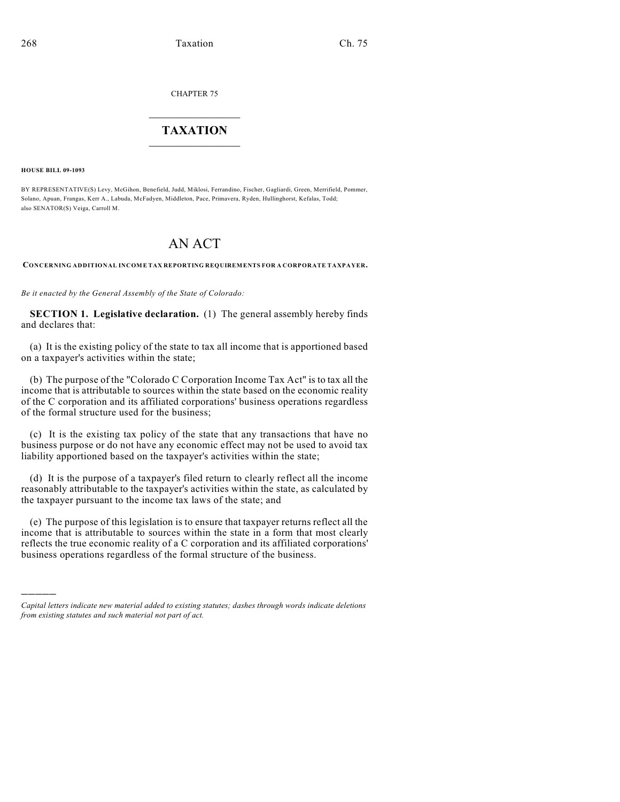CHAPTER 75

## $\overline{\phantom{a}}$  . The set of the set of the set of the set of the set of the set of the set of the set of the set of the set of the set of the set of the set of the set of the set of the set of the set of the set of the set o **TAXATION**  $\_$

**HOUSE BILL 09-1093**

)))))

BY REPRESENTATIVE(S) Levy, McGihon, Benefield, Judd, Miklosi, Ferrandino, Fischer, Gagliardi, Green, Merrifield, Pommer, Solano, Apuan, Frangas, Kerr A., Labuda, McFadyen, Middleton, Pace, Primavera, Ryden, Hullinghorst, Kefalas, Todd; also SENATOR(S) Veiga, Carroll M.

## AN ACT

**CONCERNING ADDITIONAL INCOME TAX REPORTING REQUIREMENTS FOR A CORPORATE TAXPAYER.**

*Be it enacted by the General Assembly of the State of Colorado:*

**SECTION 1. Legislative declaration.** (1) The general assembly hereby finds and declares that:

(a) It is the existing policy of the state to tax all income that is apportioned based on a taxpayer's activities within the state;

(b) The purpose of the "Colorado C Corporation Income Tax Act" is to tax all the income that is attributable to sources within the state based on the economic reality of the C corporation and its affiliated corporations' business operations regardless of the formal structure used for the business;

(c) It is the existing tax policy of the state that any transactions that have no business purpose or do not have any economic effect may not be used to avoid tax liability apportioned based on the taxpayer's activities within the state;

(d) It is the purpose of a taxpayer's filed return to clearly reflect all the income reasonably attributable to the taxpayer's activities within the state, as calculated by the taxpayer pursuant to the income tax laws of the state; and

(e) The purpose of this legislation is to ensure that taxpayer returns reflect all the income that is attributable to sources within the state in a form that most clearly reflects the true economic reality of a C corporation and its affiliated corporations' business operations regardless of the formal structure of the business.

*Capital letters indicate new material added to existing statutes; dashes through words indicate deletions from existing statutes and such material not part of act.*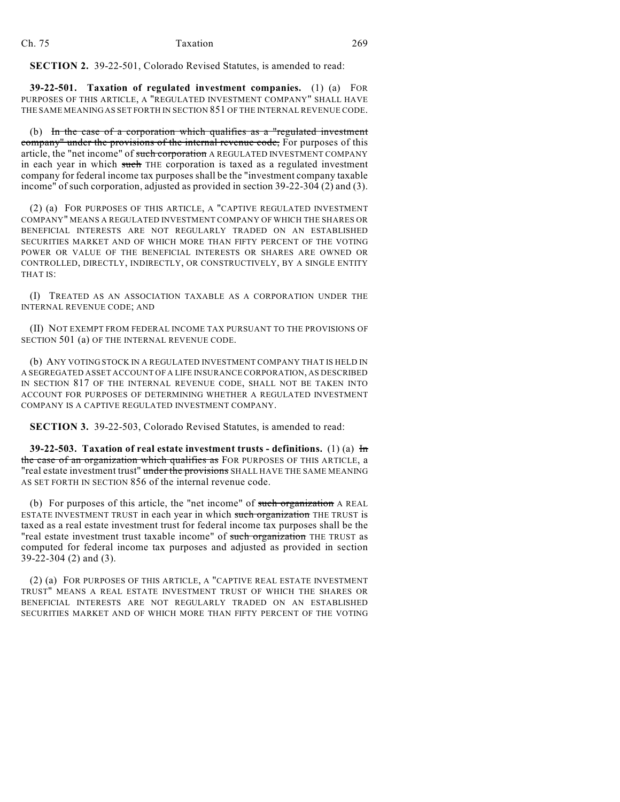**SECTION 2.** 39-22-501, Colorado Revised Statutes, is amended to read:

**39-22-501. Taxation of regulated investment companies.** (1) (a) FOR PURPOSES OF THIS ARTICLE, A "REGULATED INVESTMENT COMPANY" SHALL HAVE THE SAME MEANING AS SET FORTH IN SECTION 851 OF THE INTERNAL REVENUE CODE.

(b) In the case of a corporation which qualifies as a "regulated investment company" under the provisions of the internal revenue code, For purposes of this article, the "net income" of such corporation A REGULATED INVESTMENT COMPANY in each year in which such THE corporation is taxed as a regulated investment company for federal income tax purposes shall be the "investment company taxable income" of such corporation, adjusted as provided in section 39-22-304 (2) and (3).

(2) (a) FOR PURPOSES OF THIS ARTICLE, A "CAPTIVE REGULATED INVESTMENT COMPANY" MEANS A REGULATED INVESTMENT COMPANY OF WHICH THE SHARES OR BENEFICIAL INTERESTS ARE NOT REGULARLY TRADED ON AN ESTABLISHED SECURITIES MARKET AND OF WHICH MORE THAN FIFTY PERCENT OF THE VOTING POWER OR VALUE OF THE BENEFICIAL INTERESTS OR SHARES ARE OWNED OR CONTROLLED, DIRECTLY, INDIRECTLY, OR CONSTRUCTIVELY, BY A SINGLE ENTITY THAT IS:

(I) TREATED AS AN ASSOCIATION TAXABLE AS A CORPORATION UNDER THE INTERNAL REVENUE CODE; AND

(II) NOT EXEMPT FROM FEDERAL INCOME TAX PURSUANT TO THE PROVISIONS OF SECTION 501 (a) OF THE INTERNAL REVENUE CODE.

(b) ANY VOTING STOCK IN A REGULATED INVESTMENT COMPANY THAT IS HELD IN A SEGREGATED ASSET ACCOUNT OF A LIFE INSURANCE CORPORATION, AS DESCRIBED IN SECTION 817 OF THE INTERNAL REVENUE CODE, SHALL NOT BE TAKEN INTO ACCOUNT FOR PURPOSES OF DETERMINING WHETHER A REGULATED INVESTMENT COMPANY IS A CAPTIVE REGULATED INVESTMENT COMPANY.

**SECTION 3.** 39-22-503, Colorado Revised Statutes, is amended to read:

**39-22-503. Taxation of real estate investment trusts - definitions.** (1) (a) In the case of an organization which qualifies as FOR PURPOSES OF THIS ARTICLE, a "real estate investment trust" under the provisions SHALL HAVE THE SAME MEANING AS SET FORTH IN SECTION 856 of the internal revenue code.

(b) For purposes of this article, the "net income" of such organization A REAL ESTATE INVESTMENT TRUST in each year in which such organization THE TRUST is taxed as a real estate investment trust for federal income tax purposes shall be the "real estate investment trust taxable income" of such organization THE TRUST as computed for federal income tax purposes and adjusted as provided in section 39-22-304 (2) and (3).

(2) (a) FOR PURPOSES OF THIS ARTICLE, A "CAPTIVE REAL ESTATE INVESTMENT TRUST" MEANS A REAL ESTATE INVESTMENT TRUST OF WHICH THE SHARES OR BENEFICIAL INTERESTS ARE NOT REGULARLY TRADED ON AN ESTABLISHED SECURITIES MARKET AND OF WHICH MORE THAN FIFTY PERCENT OF THE VOTING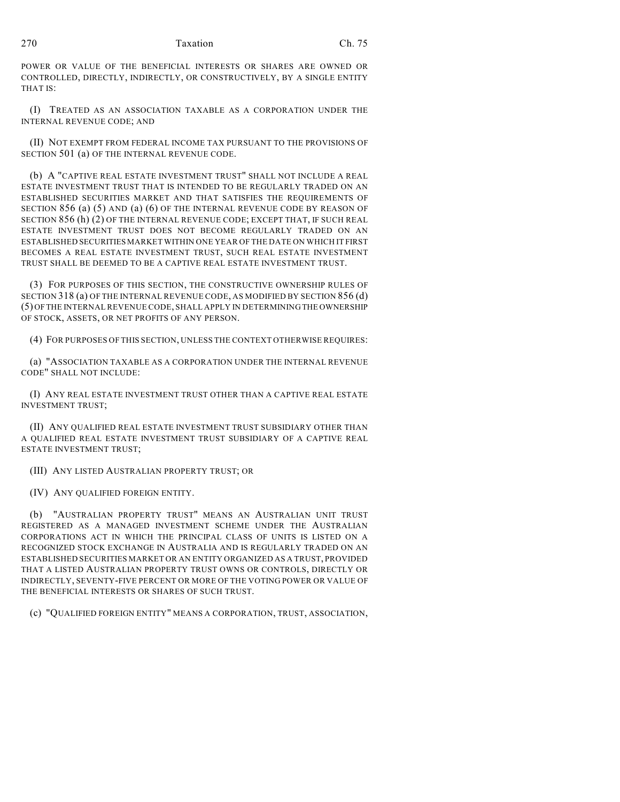POWER OR VALUE OF THE BENEFICIAL INTERESTS OR SHARES ARE OWNED OR CONTROLLED, DIRECTLY, INDIRECTLY, OR CONSTRUCTIVELY, BY A SINGLE ENTITY THAT IS:

(I) TREATED AS AN ASSOCIATION TAXABLE AS A CORPORATION UNDER THE INTERNAL REVENUE CODE; AND

(II) NOT EXEMPT FROM FEDERAL INCOME TAX PURSUANT TO THE PROVISIONS OF SECTION 501 (a) OF THE INTERNAL REVENUE CODE.

(b) A "CAPTIVE REAL ESTATE INVESTMENT TRUST" SHALL NOT INCLUDE A REAL ESTATE INVESTMENT TRUST THAT IS INTENDED TO BE REGULARLY TRADED ON AN ESTABLISHED SECURITIES MARKET AND THAT SATISFIES THE REQUIREMENTS OF SECTION 856 (a) (5) AND (a) (6) OF THE INTERNAL REVENUE CODE BY REASON OF SECTION 856 (h) (2) OF THE INTERNAL REVENUE CODE; EXCEPT THAT, IF SUCH REAL ESTATE INVESTMENT TRUST DOES NOT BECOME REGULARLY TRADED ON AN ESTABLISHED SECURITIES MARKET WITHIN ONE YEAR OF THE DATE ON WHICH IT FIRST BECOMES A REAL ESTATE INVESTMENT TRUST, SUCH REAL ESTATE INVESTMENT TRUST SHALL BE DEEMED TO BE A CAPTIVE REAL ESTATE INVESTMENT TRUST.

(3) FOR PURPOSES OF THIS SECTION, THE CONSTRUCTIVE OWNERSHIP RULES OF SECTION 318 (a) OF THE INTERNAL REVENUE CODE, AS MODIFIED BY SECTION 856 (d) (5) OF THE INTERNAL REVENUE CODE, SHALL APPLY IN DETERMINING THE OWNERSHIP OF STOCK, ASSETS, OR NET PROFITS OF ANY PERSON.

(4) FOR PURPOSES OF THIS SECTION, UNLESS THE CONTEXT OTHERWISE REQUIRES:

(a) "ASSOCIATION TAXABLE AS A CORPORATION UNDER THE INTERNAL REVENUE CODE" SHALL NOT INCLUDE:

(I) ANY REAL ESTATE INVESTMENT TRUST OTHER THAN A CAPTIVE REAL ESTATE INVESTMENT TRUST;

(II) ANY QUALIFIED REAL ESTATE INVESTMENT TRUST SUBSIDIARY OTHER THAN A QUALIFIED REAL ESTATE INVESTMENT TRUST SUBSIDIARY OF A CAPTIVE REAL ESTATE INVESTMENT TRUST;

(III) ANY LISTED AUSTRALIAN PROPERTY TRUST; OR

(IV) ANY QUALIFIED FOREIGN ENTITY.

(b) "AUSTRALIAN PROPERTY TRUST" MEANS AN AUSTRALIAN UNIT TRUST REGISTERED AS A MANAGED INVESTMENT SCHEME UNDER THE AUSTRALIAN CORPORATIONS ACT IN WHICH THE PRINCIPAL CLASS OF UNITS IS LISTED ON A RECOGNIZED STOCK EXCHANGE IN AUSTRALIA AND IS REGULARLY TRADED ON AN ESTABLISHED SECURITIES MARKET OR AN ENTITY ORGANIZED AS A TRUST, PROVIDED THAT A LISTED AUSTRALIAN PROPERTY TRUST OWNS OR CONTROLS, DIRECTLY OR INDIRECTLY, SEVENTY-FIVE PERCENT OR MORE OF THE VOTING POWER OR VALUE OF THE BENEFICIAL INTERESTS OR SHARES OF SUCH TRUST.

(c) "QUALIFIED FOREIGN ENTITY" MEANS A CORPORATION, TRUST, ASSOCIATION,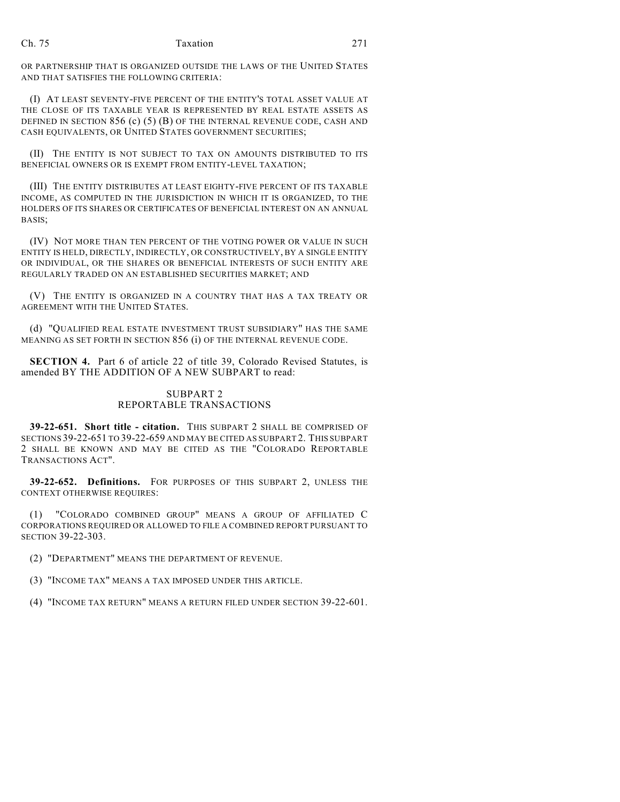## Ch. 75 Taxation 271

OR PARTNERSHIP THAT IS ORGANIZED OUTSIDE THE LAWS OF THE UNITED STATES AND THAT SATISFIES THE FOLLOWING CRITERIA:

(I) AT LEAST SEVENTY-FIVE PERCENT OF THE ENTITY'S TOTAL ASSET VALUE AT THE CLOSE OF ITS TAXABLE YEAR IS REPRESENTED BY REAL ESTATE ASSETS AS DEFINED IN SECTION 856 (c) (5) (B) OF THE INTERNAL REVENUE CODE, CASH AND CASH EQUIVALENTS, OR UNITED STATES GOVERNMENT SECURITIES;

(II) THE ENTITY IS NOT SUBJECT TO TAX ON AMOUNTS DISTRIBUTED TO ITS BENEFICIAL OWNERS OR IS EXEMPT FROM ENTITY-LEVEL TAXATION;

(III) THE ENTITY DISTRIBUTES AT LEAST EIGHTY-FIVE PERCENT OF ITS TAXABLE INCOME, AS COMPUTED IN THE JURISDICTION IN WHICH IT IS ORGANIZED, TO THE HOLDERS OF ITS SHARES OR CERTIFICATES OF BENEFICIAL INTEREST ON AN ANNUAL BASIS;

(IV) NOT MORE THAN TEN PERCENT OF THE VOTING POWER OR VALUE IN SUCH ENTITY IS HELD, DIRECTLY, INDIRECTLY, OR CONSTRUCTIVELY, BY A SINGLE ENTITY OR INDIVIDUAL, OR THE SHARES OR BENEFICIAL INTERESTS OF SUCH ENTITY ARE REGULARLY TRADED ON AN ESTABLISHED SECURITIES MARKET; AND

(V) THE ENTITY IS ORGANIZED IN A COUNTRY THAT HAS A TAX TREATY OR AGREEMENT WITH THE UNITED STATES.

(d) "QUALIFIED REAL ESTATE INVESTMENT TRUST SUBSIDIARY" HAS THE SAME MEANING AS SET FORTH IN SECTION 856 (i) OF THE INTERNAL REVENUE CODE.

**SECTION 4.** Part 6 of article 22 of title 39, Colorado Revised Statutes, is amended BY THE ADDITION OF A NEW SUBPART to read:

## SUBPART 2 REPORTABLE TRANSACTIONS

**39-22-651. Short title - citation.** THIS SUBPART 2 SHALL BE COMPRISED OF SECTIONS 39-22-651 TO 39-22-659 AND MAY BE CITED AS SUBPART 2. THIS SUBPART 2 SHALL BE KNOWN AND MAY BE CITED AS THE "COLORADO REPORTABLE TRANSACTIONS ACT".

**39-22-652. Definitions.** FOR PURPOSES OF THIS SUBPART 2, UNLESS THE CONTEXT OTHERWISE REQUIRES:

(1) "COLORADO COMBINED GROUP" MEANS A GROUP OF AFFILIATED C CORPORATIONS REQUIRED OR ALLOWED TO FILE A COMBINED REPORT PURSUANT TO SECTION 39-22-303.

(2) "DEPARTMENT" MEANS THE DEPARTMENT OF REVENUE.

(3) "INCOME TAX" MEANS A TAX IMPOSED UNDER THIS ARTICLE.

(4) "INCOME TAX RETURN" MEANS A RETURN FILED UNDER SECTION 39-22-601.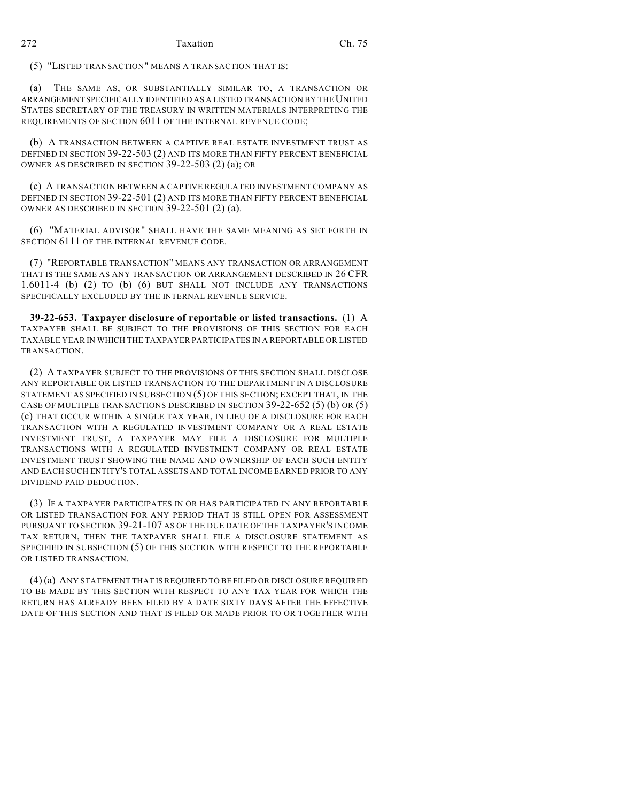(5) "LISTED TRANSACTION" MEANS A TRANSACTION THAT IS:

(a) THE SAME AS, OR SUBSTANTIALLY SIMILAR TO, A TRANSACTION OR ARRANGEMENT SPECIFICALLY IDENTIFIED AS A LISTED TRANSACTION BY THE UNITED STATES SECRETARY OF THE TREASURY IN WRITTEN MATERIALS INTERPRETING THE REQUIREMENTS OF SECTION 6011 OF THE INTERNAL REVENUE CODE;

(b) A TRANSACTION BETWEEN A CAPTIVE REAL ESTATE INVESTMENT TRUST AS DEFINED IN SECTION 39-22-503 (2) AND ITS MORE THAN FIFTY PERCENT BENEFICIAL OWNER AS DESCRIBED IN SECTION 39-22-503 (2) (a); OR

(c) A TRANSACTION BETWEEN A CAPTIVE REGULATED INVESTMENT COMPANY AS DEFINED IN SECTION 39-22-501 (2) AND ITS MORE THAN FIFTY PERCENT BENEFICIAL OWNER AS DESCRIBED IN SECTION 39-22-501 (2) (a).

(6) "MATERIAL ADVISOR" SHALL HAVE THE SAME MEANING AS SET FORTH IN SECTION 6111 OF THE INTERNAL REVENUE CODE.

(7) "REPORTABLE TRANSACTION" MEANS ANY TRANSACTION OR ARRANGEMENT THAT IS THE SAME AS ANY TRANSACTION OR ARRANGEMENT DESCRIBED IN 26 CFR 1.6011-4 (b) (2) TO (b) (6) BUT SHALL NOT INCLUDE ANY TRANSACTIONS SPECIFICALLY EXCLUDED BY THE INTERNAL REVENUE SERVICE.

**39-22-653. Taxpayer disclosure of reportable or listed transactions.** (1) A TAXPAYER SHALL BE SUBJECT TO THE PROVISIONS OF THIS SECTION FOR EACH TAXABLE YEAR IN WHICH THE TAXPAYER PARTICIPATES IN A REPORTABLE OR LISTED TRANSACTION.

(2) A TAXPAYER SUBJECT TO THE PROVISIONS OF THIS SECTION SHALL DISCLOSE ANY REPORTABLE OR LISTED TRANSACTION TO THE DEPARTMENT IN A DISCLOSURE STATEMENT AS SPECIFIED IN SUBSECTION (5) OF THIS SECTION; EXCEPT THAT, IN THE CASE OF MULTIPLE TRANSACTIONS DESCRIBED IN SECTION 39-22-652 (5) (b) OR (5) (c) THAT OCCUR WITHIN A SINGLE TAX YEAR, IN LIEU OF A DISCLOSURE FOR EACH TRANSACTION WITH A REGULATED INVESTMENT COMPANY OR A REAL ESTATE INVESTMENT TRUST, A TAXPAYER MAY FILE A DISCLOSURE FOR MULTIPLE TRANSACTIONS WITH A REGULATED INVESTMENT COMPANY OR REAL ESTATE INVESTMENT TRUST SHOWING THE NAME AND OWNERSHIP OF EACH SUCH ENTITY AND EACH SUCH ENTITY'S TOTAL ASSETS AND TOTAL INCOME EARNED PRIOR TO ANY DIVIDEND PAID DEDUCTION.

(3) IF A TAXPAYER PARTICIPATES IN OR HAS PARTICIPATED IN ANY REPORTABLE OR LISTED TRANSACTION FOR ANY PERIOD THAT IS STILL OPEN FOR ASSESSMENT PURSUANT TO SECTION 39-21-107 AS OF THE DUE DATE OF THE TAXPAYER'S INCOME TAX RETURN, THEN THE TAXPAYER SHALL FILE A DISCLOSURE STATEMENT AS SPECIFIED IN SUBSECTION (5) OF THIS SECTION WITH RESPECT TO THE REPORTABLE OR LISTED TRANSACTION.

(4) (a) ANY STATEMENT THAT IS REQUIRED TO BE FILED OR DISCLOSURE REQUIRED TO BE MADE BY THIS SECTION WITH RESPECT TO ANY TAX YEAR FOR WHICH THE RETURN HAS ALREADY BEEN FILED BY A DATE SIXTY DAYS AFTER THE EFFECTIVE DATE OF THIS SECTION AND THAT IS FILED OR MADE PRIOR TO OR TOGETHER WITH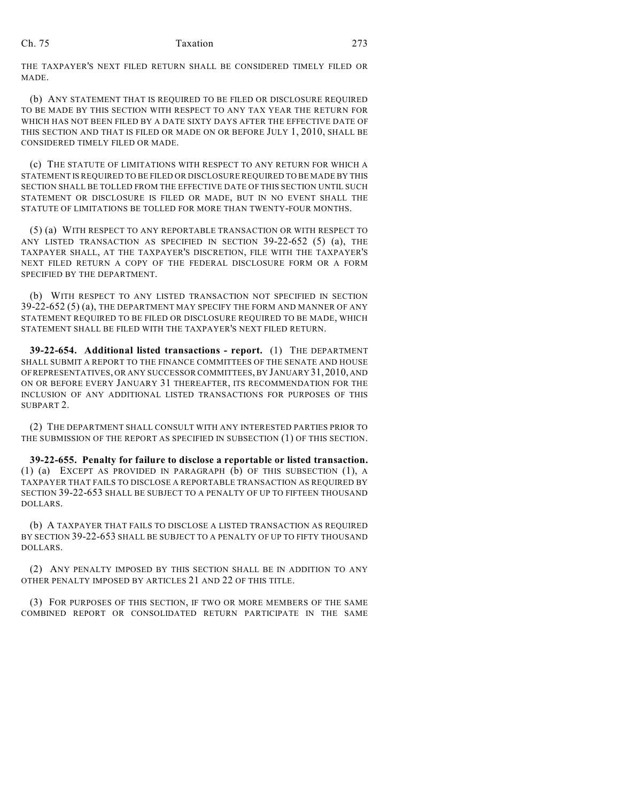THE TAXPAYER'S NEXT FILED RETURN SHALL BE CONSIDERED TIMELY FILED OR MADE.

(b) ANY STATEMENT THAT IS REQUIRED TO BE FILED OR DISCLOSURE REQUIRED TO BE MADE BY THIS SECTION WITH RESPECT TO ANY TAX YEAR THE RETURN FOR WHICH HAS NOT BEEN FILED BY A DATE SIXTY DAYS AFTER THE EFFECTIVE DATE OF THIS SECTION AND THAT IS FILED OR MADE ON OR BEFORE JULY 1, 2010, SHALL BE CONSIDERED TIMELY FILED OR MADE.

(c) THE STATUTE OF LIMITATIONS WITH RESPECT TO ANY RETURN FOR WHICH A STATEMENT IS REQUIRED TO BE FILED OR DISCLOSURE REQUIRED TO BE MADE BY THIS SECTION SHALL BE TOLLED FROM THE EFFECTIVE DATE OF THIS SECTION UNTIL SUCH STATEMENT OR DISCLOSURE IS FILED OR MADE, BUT IN NO EVENT SHALL THE STATUTE OF LIMITATIONS BE TOLLED FOR MORE THAN TWENTY-FOUR MONTHS.

(5) (a) WITH RESPECT TO ANY REPORTABLE TRANSACTION OR WITH RESPECT TO ANY LISTED TRANSACTION AS SPECIFIED IN SECTION 39-22-652 (5) (a), THE TAXPAYER SHALL, AT THE TAXPAYER'S DISCRETION, FILE WITH THE TAXPAYER'S NEXT FILED RETURN A COPY OF THE FEDERAL DISCLOSURE FORM OR A FORM SPECIFIED BY THE DEPARTMENT.

(b) WITH RESPECT TO ANY LISTED TRANSACTION NOT SPECIFIED IN SECTION 39-22-652 (5) (a), THE DEPARTMENT MAY SPECIFY THE FORM AND MANNER OF ANY STATEMENT REQUIRED TO BE FILED OR DISCLOSURE REQUIRED TO BE MADE, WHICH STATEMENT SHALL BE FILED WITH THE TAXPAYER'S NEXT FILED RETURN.

**39-22-654. Additional listed transactions - report.** (1) THE DEPARTMENT SHALL SUBMIT A REPORT TO THE FINANCE COMMITTEES OF THE SENATE AND HOUSE OF REPRESENTATIVES, OR ANY SUCCESSOR COMMITTEES, BY JANUARY 31,2010, AND ON OR BEFORE EVERY JANUARY 31 THEREAFTER, ITS RECOMMENDATION FOR THE INCLUSION OF ANY ADDITIONAL LISTED TRANSACTIONS FOR PURPOSES OF THIS SUBPART 2.

(2) THE DEPARTMENT SHALL CONSULT WITH ANY INTERESTED PARTIES PRIOR TO THE SUBMISSION OF THE REPORT AS SPECIFIED IN SUBSECTION (1) OF THIS SECTION.

**39-22-655. Penalty for failure to disclose a reportable or listed transaction.** (1) (a) EXCEPT AS PROVIDED IN PARAGRAPH (b) OF THIS SUBSECTION (1), A TAXPAYER THAT FAILS TO DISCLOSE A REPORTABLE TRANSACTION AS REQUIRED BY SECTION 39-22-653 SHALL BE SUBJECT TO A PENALTY OF UP TO FIFTEEN THOUSAND DOLLARS.

(b) A TAXPAYER THAT FAILS TO DISCLOSE A LISTED TRANSACTION AS REQUIRED BY SECTION 39-22-653 SHALL BE SUBJECT TO A PENALTY OF UP TO FIFTY THOUSAND DOLLARS.

(2) ANY PENALTY IMPOSED BY THIS SECTION SHALL BE IN ADDITION TO ANY OTHER PENALTY IMPOSED BY ARTICLES 21 AND 22 OF THIS TITLE.

(3) FOR PURPOSES OF THIS SECTION, IF TWO OR MORE MEMBERS OF THE SAME COMBINED REPORT OR CONSOLIDATED RETURN PARTICIPATE IN THE SAME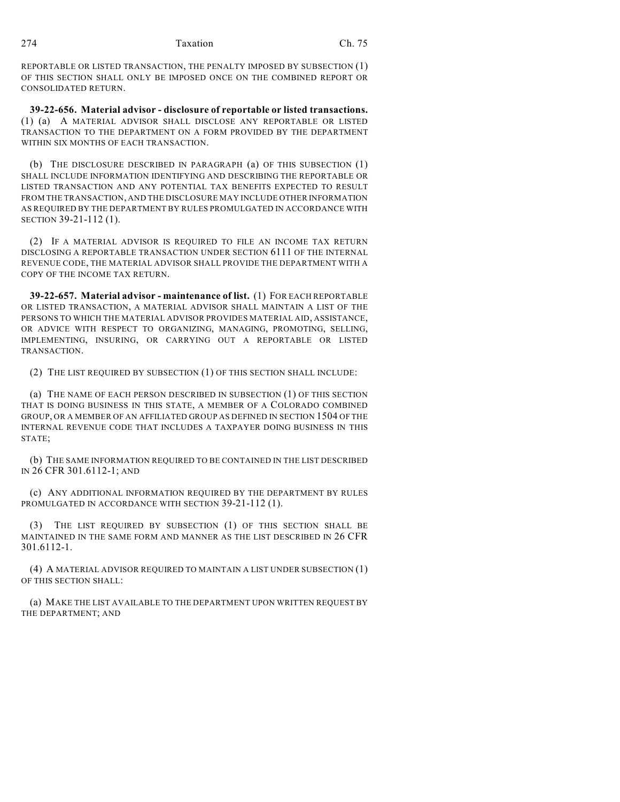REPORTABLE OR LISTED TRANSACTION, THE PENALTY IMPOSED BY SUBSECTION (1) OF THIS SECTION SHALL ONLY BE IMPOSED ONCE ON THE COMBINED REPORT OR CONSOLIDATED RETURN.

**39-22-656. Material advisor - disclosure of reportable or listed transactions.** (1) (a) A MATERIAL ADVISOR SHALL DISCLOSE ANY REPORTABLE OR LISTED TRANSACTION TO THE DEPARTMENT ON A FORM PROVIDED BY THE DEPARTMENT WITHIN SIX MONTHS OF EACH TRANSACTION.

(b) THE DISCLOSURE DESCRIBED IN PARAGRAPH (a) OF THIS SUBSECTION (1) SHALL INCLUDE INFORMATION IDENTIFYING AND DESCRIBING THE REPORTABLE OR LISTED TRANSACTION AND ANY POTENTIAL TAX BENEFITS EXPECTED TO RESULT FROM THE TRANSACTION, AND THE DISCLOSURE MAY INCLUDE OTHER INFORMATION AS REQUIRED BY THE DEPARTMENT BY RULES PROMULGATED IN ACCORDANCE WITH SECTION 39-21-112 (1).

(2) IF A MATERIAL ADVISOR IS REQUIRED TO FILE AN INCOME TAX RETURN DISCLOSING A REPORTABLE TRANSACTION UNDER SECTION 6111 OF THE INTERNAL REVENUE CODE, THE MATERIAL ADVISOR SHALL PROVIDE THE DEPARTMENT WITH A COPY OF THE INCOME TAX RETURN.

**39-22-657. Material advisor - maintenance of list.** (1) FOR EACH REPORTABLE OR LISTED TRANSACTION, A MATERIAL ADVISOR SHALL MAINTAIN A LIST OF THE PERSONS TO WHICH THE MATERIAL ADVISOR PROVIDES MATERIAL AID, ASSISTANCE, OR ADVICE WITH RESPECT TO ORGANIZING, MANAGING, PROMOTING, SELLING, IMPLEMENTING, INSURING, OR CARRYING OUT A REPORTABLE OR LISTED TRANSACTION.

(2) THE LIST REQUIRED BY SUBSECTION (1) OF THIS SECTION SHALL INCLUDE:

(a) THE NAME OF EACH PERSON DESCRIBED IN SUBSECTION (1) OF THIS SECTION THAT IS DOING BUSINESS IN THIS STATE, A MEMBER OF A COLORADO COMBINED GROUP, OR A MEMBER OF AN AFFILIATED GROUP AS DEFINED IN SECTION 1504 OF THE INTERNAL REVENUE CODE THAT INCLUDES A TAXPAYER DOING BUSINESS IN THIS STATE;

(b) THE SAME INFORMATION REQUIRED TO BE CONTAINED IN THE LIST DESCRIBED IN 26 CFR 301.6112-1; AND

(c) ANY ADDITIONAL INFORMATION REQUIRED BY THE DEPARTMENT BY RULES PROMULGATED IN ACCORDANCE WITH SECTION 39-21-112 (1).

(3) THE LIST REQUIRED BY SUBSECTION (1) OF THIS SECTION SHALL BE MAINTAINED IN THE SAME FORM AND MANNER AS THE LIST DESCRIBED IN 26 CFR 301.6112-1.

(4) A MATERIAL ADVISOR REQUIRED TO MAINTAIN A LIST UNDER SUBSECTION (1) OF THIS SECTION SHALL:

(a) MAKE THE LIST AVAILABLE TO THE DEPARTMENT UPON WRITTEN REQUEST BY THE DEPARTMENT; AND